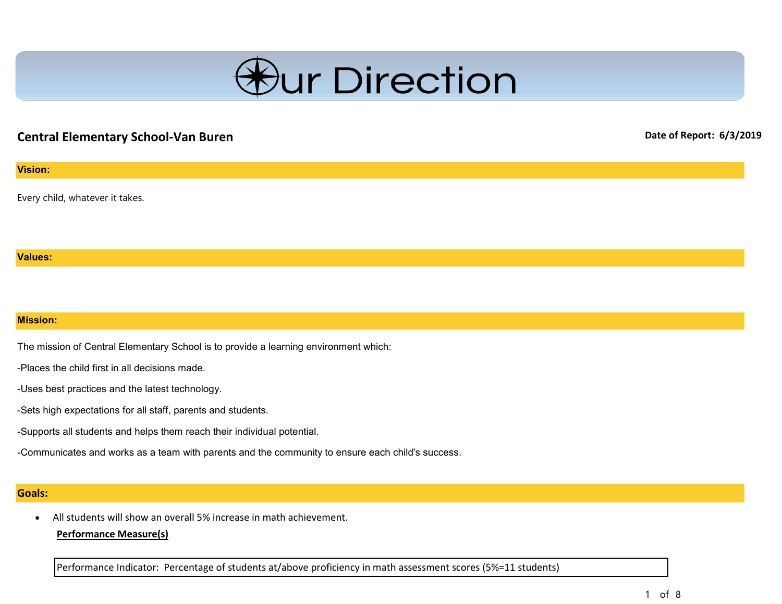

# **Central Elementary School-Van Buren Date of Report: 6/3/2019**

#### **Vision:**

Every child, whatever it takes.

#### **Values:**

#### **Mission:**

The mission of Central Elementary School is to provide a learning environment which:

-Places the child first in all decisions made.

-Uses best practices and the latest technology.

-Sets high expectations for all staff, parents and students.

-Supports all students and helps them reach their individual potential.

-Communicates and works as a team with parents and the community to ensure each child's success.

#### **Goals:**

• All students will show an overall 5% increase in math achievement.

#### **Performance Measure(s)**

Performance Indicator: Percentage of students at/above proficiency in math assessment scores (5%=11 students)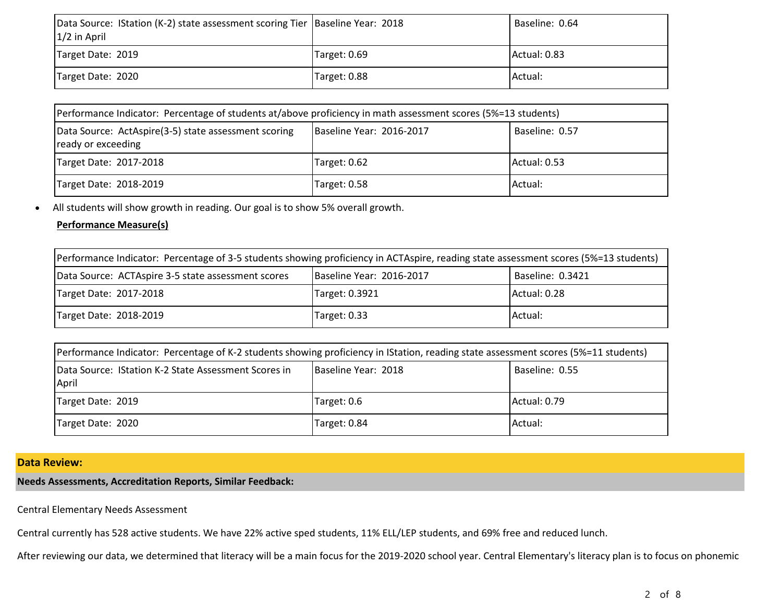| Data Source: IStation (K-2) state assessment scoring Tier   Baseline Year: 2018<br>$1/2$ in April |              | Baseline: 0.64 |
|---------------------------------------------------------------------------------------------------|--------------|----------------|
| Target Date: 2019                                                                                 | Target: 0.69 | Actual: 0.83   |
| Target Date: 2020                                                                                 | Target: 0.88 | Actual:        |

| [Performance Indicator: Percentage of students at/above proficiency in math assessment scores (5%=13 students) |                          |                |
|----------------------------------------------------------------------------------------------------------------|--------------------------|----------------|
| Data Source: ActAspire(3-5) state assessment scoring<br>ready or exceeding                                     | Baseline Year: 2016-2017 | Baseline: 0.57 |
| Target Date: 2017-2018                                                                                         | Target: 0.62             | Actual: 0.53   |
| Target Date: 2018-2019                                                                                         | Target: 0.58             | Actual:        |

• All students will show growth in reading. Our goal is to show 5% overall growth.

#### **Performance Measure(s)**

| Performance Indicator: Percentage of 3-5 students showing proficiency in ACTAspire, reading state assessment scores (5%=13 students) |                          |                  |
|--------------------------------------------------------------------------------------------------------------------------------------|--------------------------|------------------|
| Data Source: ACTAspire 3-5 state assessment scores                                                                                   | Baseline Year: 2016-2017 | Baseline: 0.3421 |
| Target Date: 2017-2018                                                                                                               | Target: 0.3921           | Actual: 0.28     |
| Target Date: 2018-2019                                                                                                               | Target: 0.33             | Actual:          |

|                                                                       | Performance Indicator: Percentage of K-2 students showing proficiency in IStation, reading state assessment scores (5%=11 students) |                |  |
|-----------------------------------------------------------------------|-------------------------------------------------------------------------------------------------------------------------------------|----------------|--|
| <b>IData Source: IStation K-2 State Assessment Scores in</b><br>April | Baseline Year: 2018                                                                                                                 | Baseline: 0.55 |  |
| Target Date: 2019                                                     | Target: 0.6                                                                                                                         | Actual: 0.79   |  |
| Target Date: 2020                                                     | Target: 0.84                                                                                                                        | Actual:        |  |

## **Data Review:**

## **Needs Assessments, Accreditation Reports, Similar Feedback:**

Central Elementary Needs Assessment

Central currently has 528 active students. We have 22% active sped students, 11% ELL/LEP students, and 69% free and reduced lunch.

After reviewing our data, we determined that literacy will be a main focus for the 2019-2020 school year. Central Elementary's literacy plan is to focus on phonemic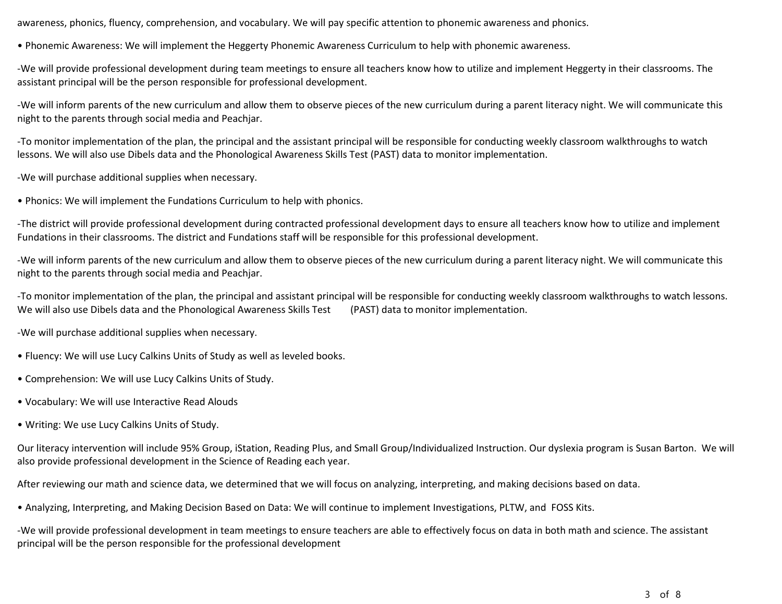awareness, phonics, fluency, comprehension, and vocabulary. We will pay specific attention to phonemic awareness and phonics.

• Phonemic Awareness: We will implement the Heggerty Phonemic Awareness Curriculum to help with phonemic awareness.

-We will provide professional development during team meetings to ensure all teachers know how to utilize and implement Heggerty in their classrooms. The assistant principal will be the person responsible for professional development.

-We will inform parents of the new curriculum and allow them to observe pieces of the new curriculum during a parent literacy night. We will communicate this night to the parents through social media and Peachjar.

-To monitor implementation of the plan, the principal and the assistant principal will be responsible for conducting weekly classroom walkthroughs to watch lessons. We will also use Dibels data and the Phonological Awareness Skills Test (PAST) data to monitor implementation.

-We will purchase additional supplies when necessary.

• Phonics: We will implement the Fundations Curriculum to help with phonics.

-The district will provide professional development during contracted professional development days to ensure all teachers know how to utilize and implement Fundations in their classrooms. The district and Fundations staff will be responsible for this professional development.

-We will inform parents of the new curriculum and allow them to observe pieces of the new curriculum during a parent literacy night. We will communicate this night to the parents through social media and Peachjar.

-To monitor implementation of the plan, the principal and assistant principal will be responsible for conducting weekly classroom walkthroughs to watch lessons. We will also use Dibels data and the Phonological Awareness Skills Test (PAST) data to monitor implementation.

-We will purchase additional supplies when necessary.

- Fluency: We will use Lucy Calkins Units of Study as well as leveled books.
- Comprehension: We will use Lucy Calkins Units of Study.
- Vocabulary: We will use Interactive Read Alouds
- Writing: We use Lucy Calkins Units of Study.

Our literacy intervention will include 95% Group, iStation, Reading Plus, and Small Group/Individualized Instruction. Our dyslexia program is Susan Barton. We will also provide professional development in the Science of Reading each year.

After reviewing our math and science data, we determined that we will focus on analyzing, interpreting, and making decisions based on data.

• Analyzing, Interpreting, and Making Decision Based on Data: We will continue to implement Investigations, PLTW, and FOSS Kits.

-We will provide professional development in team meetings to ensure teachers are able to effectively focus on data in both math and science. The assistant principal will be the person responsible for the professional development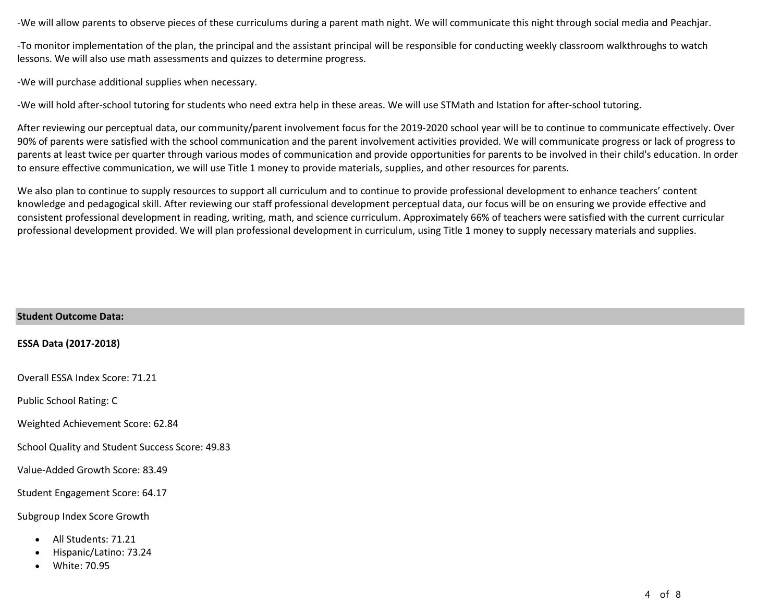-We will allow parents to observe pieces of these curriculums during a parent math night. We will communicate this night through social media and Peachjar.

-To monitor implementation of the plan, the principal and the assistant principal will be responsible for conducting weekly classroom walkthroughs to watch lessons. We will also use math assessments and quizzes to determine progress.

-We will purchase additional supplies when necessary.

-We will hold after-school tutoring for students who need extra help in these areas. We will use STMath and Istation for after-school tutoring.

After reviewing our perceptual data, our community/parent involvement focus for the 2019-2020 school year will be to continue to communicate effectively. Over 90% of parents were satisfied with the school communication and the parent involvement activities provided. We will communicate progress or lack of progress to parents at least twice per quarter through various modes of communication and provide opportunities for parents to be involved in their child's education. In order to ensure effective communication, we will use Title 1 money to provide materials, supplies, and other resources for parents.

We also plan to continue to supply resources to support all curriculum and to continue to provide professional development to enhance teachers' content knowledge and pedagogical skill. After reviewing our staff professional development perceptual data, our focus will be on ensuring we provide effective and consistent professional development in reading, writing, math, and science curriculum. Approximately 66% of teachers were satisfied with the current curricular professional development provided. We will plan professional development in curriculum, using Title 1 money to supply necessary materials and supplies.

| <b>Student Outcome Data:</b>                                                                 |
|----------------------------------------------------------------------------------------------|
| <b>ESSA Data (2017-2018)</b>                                                                 |
| Overall ESSA Index Score: 71.21                                                              |
| <b>Public School Rating: C</b>                                                               |
| Weighted Achievement Score: 62.84                                                            |
| School Quality and Student Success Score: 49.83                                              |
| Value-Added Growth Score: 83.49                                                              |
| Student Engagement Score: 64.17                                                              |
| Subgroup Index Score Growth                                                                  |
| All Students: 71.21<br>$\bullet$<br>Hispanic/Latino: 73.24<br>٠<br>White: 70.95<br>$\bullet$ |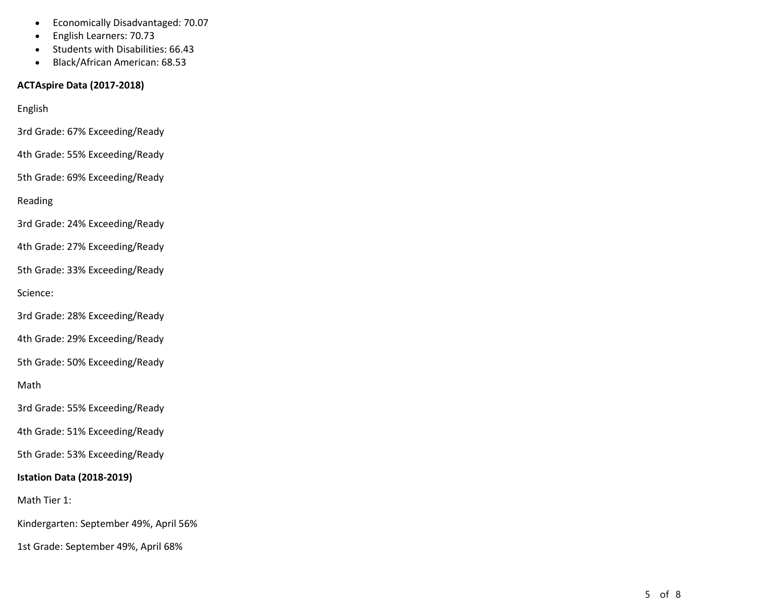- Economically Disadvantaged: 70.07
- English Learners: 70.73
- Students with Disabilities: 66.43
- Black/African American: 68.53

### **ACTAspire Data (2017 -2018)**

English

3rd Grade: 67% Exceeding/Ready

4th Grade: 55% Exceeding/Ready

5th Grade: 69% Exceeding/Ready

Reading

3rd Grade: 24% Exceeding/Ready

4th Grade: 27% Exceeding/Ready

5th Grade: 33% Exceeding/Ready

Science:

3rd Grade: 28% Exceeding/Ready

4th Grade: 29% Exceeding/Ready

5th Grade: 50% Exceeding/Ready

Math

3rd Grade: 55% Exceeding/Ready

4th Grade: 51% Exceeding/Ready

5th Grade: 53% Exceeding/Ready

### **Istation Data (2018 -2019)**

Math Tier 1:

Kindergarten: September 49%, April 56%

1st Grade: September 49%, April 68%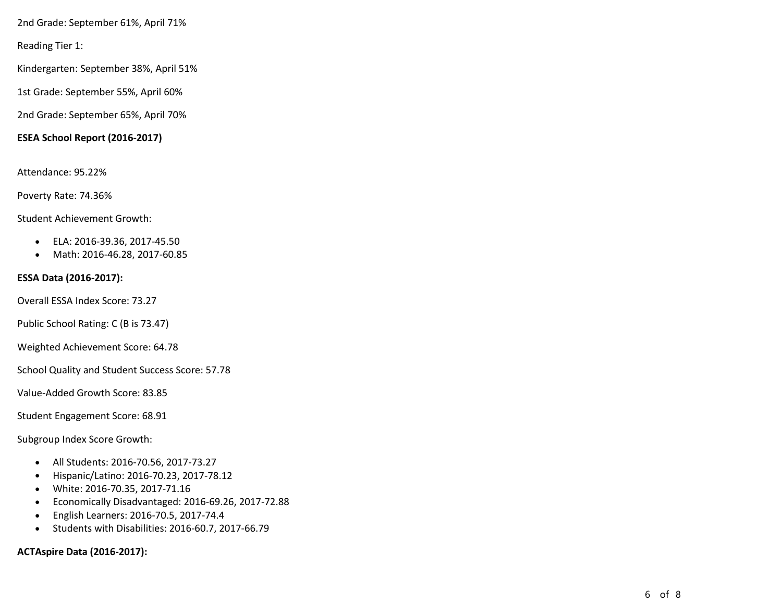2nd Grade: September 61%, April 71%

Reading Tier 1:

Kindergarten: September 38%, April 51%

1st Grade: September 55%, April 60%

2nd Grade: September 65%, April 70%

#### **ESEA School Report (2016-2017)**

Attendance: 95.22%

Poverty Rate: 74.36%

Student Achievement Growth:

- ELA: 2016-39.36, 2017-45.50
- Math: 2016-46.28, 2017-60.85

#### **ESSA Data (2016-2017):**

Overall ESSA Index Score: 73.27

Public School Rating: C (B is 73.47)

Weighted Achievement Score: 64.78

School Quality and Student Success Score: 57.78

Value-Added Growth Score: 83.85

Student Engagement Score: 68.91

Subgroup Index Score Growth:

- All Students: 2016-70.56, 2017-73.27
- Hispanic/Latino: 2016-70.23, 2017-78.12
- White: 2016-70.35, 2017-71.16
- Economically Disadvantaged: 2016-69.26, 2017-72.88
- English Learners: 2016-70.5, 2017-74.4
- Students with Disabilities: 2016-60.7, 2017-66.79

#### **ACTAspire Data (2016-2017):**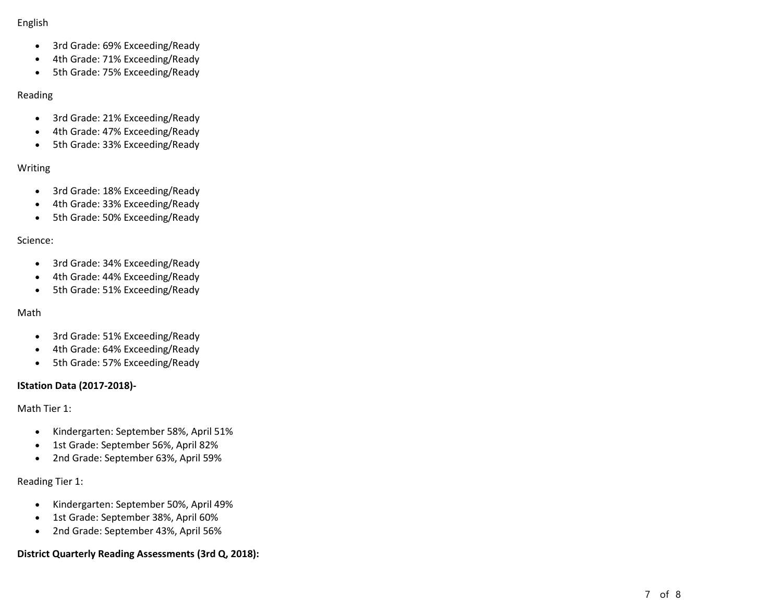#### English

- 3rd Grade: 69% Exceeding/Ready
- 4th Grade: 71% Exceeding/Ready
- 5th Grade: 75% Exceeding/Ready

#### Reading

- 3rd Grade: 21% Exceeding/Ready
- 4th Grade: 47% Exceeding/Ready
- 5th Grade: 33% Exceeding/Ready

### Writing

- 3rd Grade: 18% Exceeding/Ready
- 4th Grade: 33% Exceeding/Ready
- 5th Grade: 50% Exceeding/Ready

#### Science:

- 3rd Grade: 34% Exceeding/Ready
- 4th Grade: 44% Exceeding/Ready
- 5th Grade: 51% Exceeding/Ready

### Math

- 3rd Grade: 51% Exceeding/Ready
- 4th Grade: 64% Exceeding/Ready
- 5th Grade: 57% Exceeding/Ready

### **IStation Data (2017-2018)-**

Math Tier 1:

- Kindergarten: September 58%, April 51%
- 1st Grade: September 56%, April 82%
- 2nd Grade: September 63%, April 59%

Reading Tier 1:

- Kindergarten: September 50%, April 49%
- 1st Grade: September 38%, April 60%
- 2nd Grade: September 43%, April 56%

## **District Quarterly Reading Assessments (3rd Q, 2018):**